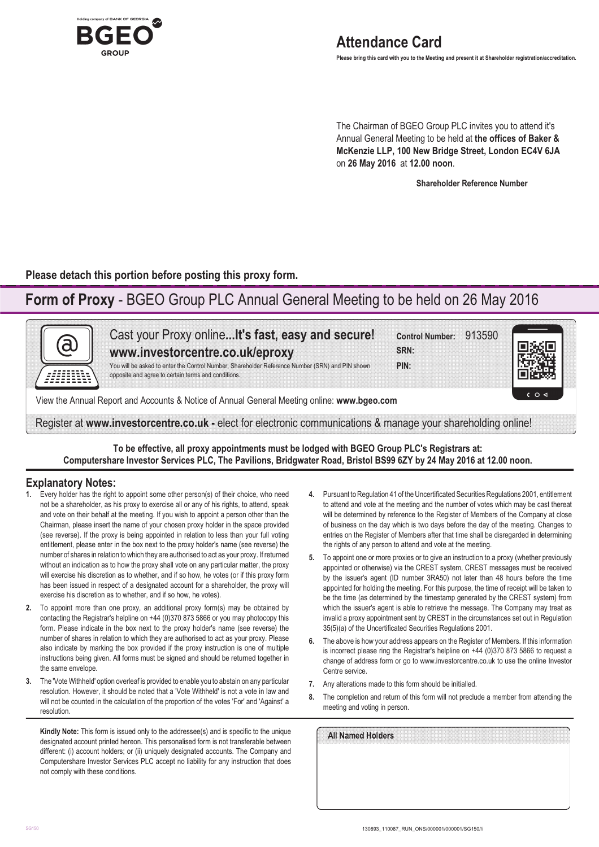

The Chairman of BGEO Group PLC invites you to attend it's Annual General Meeting to be held at **the offices of Baker & McKenzie LLP, 100 New Bridge Street, London EC4V 6JA** on **26 May 2016** at **12.00 noon**.

**Shareholder Reference Number**

**Please detach this portion before posting this proxy form.**

# **Form of Proxy** - BGEO Group PLC Annual General Meeting to be held on 26 May 2016

| Cast your Proxy online It's fast, easy and secure!<br>www.investorcentre.co.uk/eproxy                                                                  | <b>Control Number:</b><br>913590<br>SRN: |                             |
|--------------------------------------------------------------------------------------------------------------------------------------------------------|------------------------------------------|-----------------------------|
| You will be asked to enter the Control Number, Shareholder Reference Number (SRN) and PIN shown<br>opposite and agree to certain terms and conditions. | PIN:                                     |                             |
| View the Annual Report and Accounts & Notice of Annual General Meeting online: www.bgeo.com                                                            |                                          | $C$ $\circ$ $\triangleleft$ |

**To be effective, all proxy appointments must be lodged with BGEO Group PLC's Registrars at: Computershare Investor Services PLC, The Pavilions, Bridgwater Road, Bristol BS99 6ZY by 24 May 2016 at 12.00 noon.**

## **Explanatory Notes:**

- **1.** Every holder has the right to appoint some other person(s) of their choice, who need not be a shareholder, as his proxy to exercise all or any of his rights, to attend, speak and vote on their behalf at the meeting. If you wish to appoint a person other than the Chairman, please insert the name of your chosen proxy holder in the space provided (see reverse). If the proxy is being appointed in relation to less than your full voting entitlement, please enter in the box next to the proxy holder's name (see reverse) the number of shares in relation to which they are authorised to act as your proxy. If returned without an indication as to how the proxy shall vote on any particular matter, the proxy will exercise his discretion as to whether, and if so how, he votes (or if this proxy form has been issued in respect of a designated account for a shareholder, the proxy will exercise his discretion as to whether, and if so how, he votes).
- **2.** To appoint more than one proxy, an additional proxy form(s) may be obtained by contacting the Registrar's helpline on +44 (0)370 873 5866 or you may photocopy this form. Please indicate in the box next to the proxy holder's name (see reverse) the number of shares in relation to which they are authorised to act as your proxy. Please also indicate by marking the box provided if the proxy instruction is one of multiple instructions being given. All forms must be signed and should be returned together in the same envelope.
- **3.** The 'Vote Withheld' option overleaf is provided to enable you to abstain on any particular resolution. However, it should be noted that a 'Vote Withheld' is not a vote in law and will not be counted in the calculation of the proportion of the votes 'For' and 'Against' a resolution.

**Kindly Note:** This form is issued only to the addressee(s) and is specific to the unique designated account printed hereon. This personalised form is not transferable between different: (i) account holders; or (ii) uniquely designated accounts. The Company and Computershare Investor Services PLC accept no liability for any instruction that does not comply with these conditions.

- **4.** Pursuant to Regulation 41 of the Uncertificated Securities Regulations 2001, entitlement to attend and vote at the meeting and the number of votes which may be cast thereat will be determined by reference to the Register of Members of the Company at close of business on the day which is two days before the day of the meeting. Changes to entries on the Register of Members after that time shall be disregarded in determining the rights of any person to attend and vote at the meeting.
- **5.** To appoint one or more proxies or to give an instruction to a proxy (whether previously appointed or otherwise) via the CREST system, CREST messages must be received by the issuer's agent (ID number 3RA50) not later than 48 hours before the time appointed for holding the meeting. For this purpose, the time of receipt will be taken to be the time (as determined by the timestamp generated by the CREST system) from which the issuer's agent is able to retrieve the message. The Company may treat as invalid a proxy appointment sent by CREST in the circumstances set out in Regulation 35(5)(a) of the Uncertificated Securities Regulations 2001.
- **6.** The above is how your address appears on the Register of Members. If this information is incorrect please ring the Registrar's helpline on +44 (0)370 873 5866 to request a change of address form or go to www.investorcentre.co.uk to use the online Investor Centre service.
- **7.** Any alterations made to this form should be initialled.
- **8.** The completion and return of this form will not preclude a member from attending the meeting and voting in person.

| All Named Holders |  |  |  |
|-------------------|--|--|--|
|                   |  |  |  |
|                   |  |  |  |
|                   |  |  |  |
|                   |  |  |  |